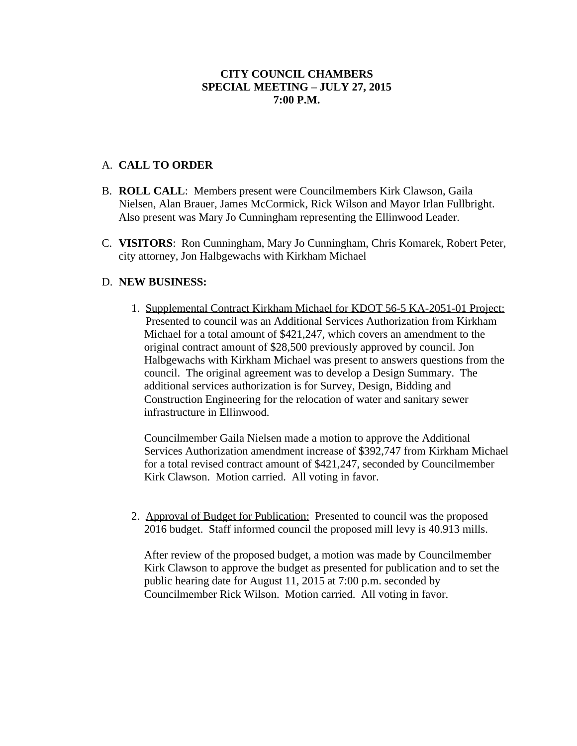## **CITY COUNCIL CHAMBERS SPECIAL MEETING – JULY 27, 2015 7:00 P.M.**

## A. **CALL TO ORDER**

- B. **ROLL CALL**: Members present were Councilmembers Kirk Clawson, Gaila Nielsen, Alan Brauer, James McCormick, Rick Wilson and Mayor Irlan Fullbright. Also present was Mary Jo Cunningham representing the Ellinwood Leader.
- C. **VISITORS**: Ron Cunningham, Mary Jo Cunningham, Chris Komarek, Robert Peter, city attorney, Jon Halbgewachs with Kirkham Michael

## D. **NEW BUSINESS:**

1. Supplemental Contract Kirkham Michael for KDOT 56-5 KA-2051-01 Project: Presented to council was an Additional Services Authorization from Kirkham Michael for a total amount of \$421,247, which covers an amendment to the original contract amount of \$28,500 previously approved by council. Jon Halbgewachs with Kirkham Michael was present to answers questions from the council. The original agreement was to develop a Design Summary. The additional services authorization is for Survey, Design, Bidding and Construction Engineering for the relocation of water and sanitary sewer infrastructure in Ellinwood.

Councilmember Gaila Nielsen made a motion to approve the Additional Services Authorization amendment increase of \$392,747 from Kirkham Michael for a total revised contract amount of \$421,247, seconded by Councilmember Kirk Clawson. Motion carried. All voting in favor.

2. Approval of Budget for Publication: Presented to council was the proposed 2016 budget. Staff informed council the proposed mill levy is 40.913 mills.

After review of the proposed budget, a motion was made by Councilmember Kirk Clawson to approve the budget as presented for publication and to set the public hearing date for August 11, 2015 at 7:00 p.m. seconded by Councilmember Rick Wilson. Motion carried. All voting in favor.